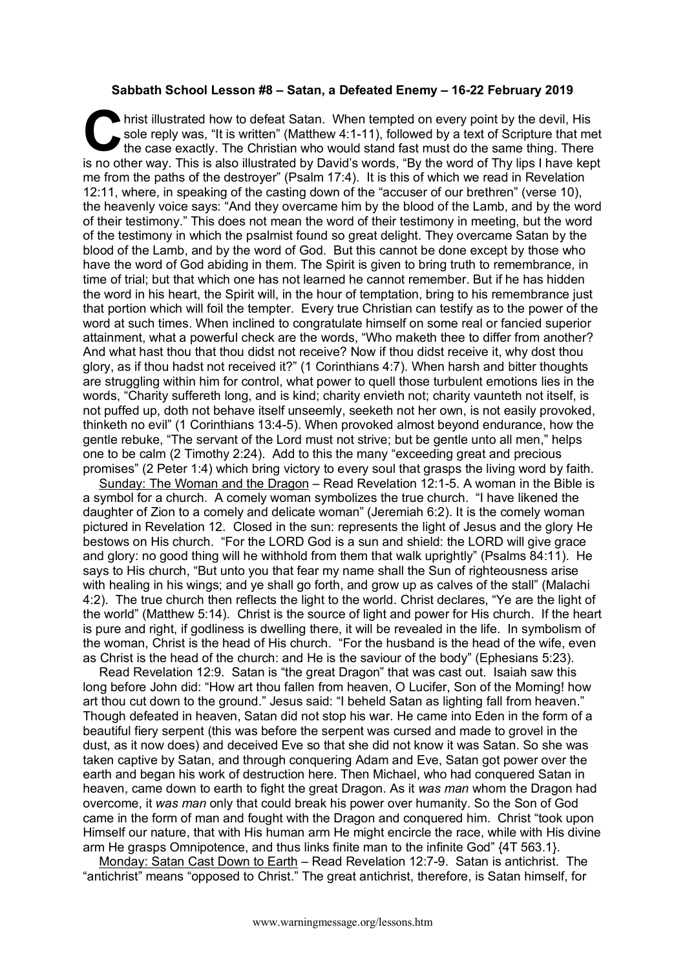## **Sabbath School Lesson #8 – Satan, a Defeated Enemy – 16-22 February 2019**

hrist illustrated how to defeat Satan. When tempted on every point by the devil, His sole reply was, "It is written" (Matthew 4:1-11), followed by a text of Scripture that met the case exactly. The Christian who would stand fast must do the same thing. There It is no other way. This is also illustrated by David's words, "By the word of Scripture that met the case exactly. The Christian who would stand fast must do the same thing. There is no other way. This is also illustrated me from the paths of the destroyer" (Psalm 17:4). It is this of which we read in Revelation 12:11, where, in speaking of the casting down of the "accuser of our brethren" (verse 10), the heavenly voice says: "And they overcame him by the blood of the Lamb, and by the word of their testimony." This does not mean the word of their testimony in meeting, but the word of the testimony in which the psalmist found so great delight. They overcame Satan by the blood of the Lamb, and by the word of God. But this cannot be done except by those who have the word of God abiding in them. The Spirit is given to bring truth to remembrance, in time of trial; but that which one has not learned he cannot remember. But if he has hidden the word in his heart, the Spirit will, in the hour of temptation, bring to his remembrance just that portion which will foil the tempter. Every true Christian can testify as to the power of the word at such times. When inclined to congratulate himself on some real or fancied superior attainment, what a powerful check are the words, "Who maketh thee to differ from another? And what hast thou that thou didst not receive? Now if thou didst receive it, why dost thou glory, as if thou hadst not received it?" (1 Corinthians 4:7). When harsh and bitter thoughts are struggling within him for control, what power to quell those turbulent emotions lies in the words, "Charity suffereth long, and is kind; charity envieth not; charity vaunteth not itself, is not puffed up, doth not behave itself unseemly, seeketh not her own, is not easily provoked, thinketh no evil" (1 Corinthians 13:4-5). When provoked almost beyond endurance, how the gentle rebuke, "The servant of the Lord must not strive; but be gentle unto all men," helps one to be calm (2 Timothy 2:24). Add to this the many "exceeding great and precious promises" (2 Peter 1:4) which bring victory to every soul that grasps the living word by faith.

Sunday: The Woman and the Dragon – Read Revelation 12:1-5. A woman in the Bible is a symbol for a church. A comely woman symbolizes the true church. "I have likened the daughter of Zion to a comely and delicate woman" (Jeremiah 6:2). It is the comely woman pictured in Revelation 12. Closed in the sun: represents the light of Jesus and the glory He bestows on His church. "For the LORD God is a sun and shield: the LORD will give grace and glory: no good thing will he withhold from them that walk uprightly" (Psalms 84:11). He says to His church, "But unto you that fear my name shall the Sun of righteousness arise with healing in his wings; and ye shall go forth, and grow up as calves of the stall" (Malachi 4:2). The true church then reflects the light to the world. Christ declares, "Ye are the light of the world" (Matthew 5:14). Christ is the source of light and power for His church. If the heart is pure and right, if godliness is dwelling there, it will be revealed in the life. In symbolism of the woman, Christ is the head of His church. "For the husband is the head of the wife, even as Christ is the head of the church: and He is the saviour of the body" (Ephesians 5:23).

Read Revelation 12:9. Satan is "the great Dragon" that was cast out. Isaiah saw this long before John did: "How art thou fallen from heaven, O Lucifer, Son of the Morning! how art thou cut down to the ground." Jesus said: "I beheld Satan as lighting fall from heaven." Though defeated in heaven, Satan did not stop his war. He came into Eden in the form of a beautiful fiery serpent (this was before the serpent was cursed and made to grovel in the dust, as it now does) and deceived Eve so that she did not know it was Satan. So she was taken captive by Satan, and through conquering Adam and Eve, Satan got power over the earth and began his work of destruction here. Then Michael, who had conquered Satan in heaven, came down to earth to fight the great Dragon. As it *was man* whom the Dragon had overcome, it *was man* only that could break his power over humanity. So the Son of God came in the form of man and fought with the Dragon and conquered him. Christ "took upon Himself our nature, that with His human arm He might encircle the race, while with His divine arm He grasps Omnipotence, and thus links finite man to the infinite God" {4T 563.1}.

Monday: Satan Cast Down to Earth – Read Revelation 12:7-9. Satan is antichrist. The "antichrist" means "opposed to Christ." The great antichrist, therefore, is Satan himself, for